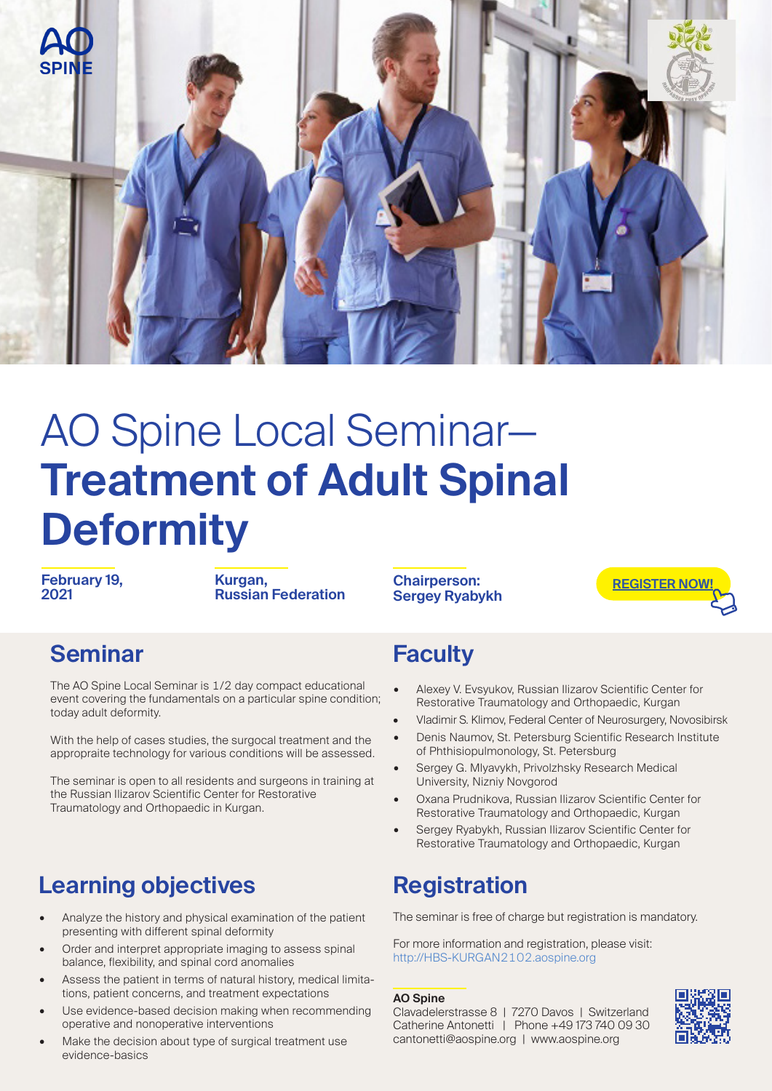

# AO Spine Local Seminar— **Treatment of Adult Spinal Deformity**

**February 19, 2021**

**Kurgan, Russian Federation**

**Chairperson: Sergey Ryabykh**



#### **Seminar**

The AO Spine Local Seminar is 1/2 day compact educational event covering the fundamentals on a particular spine condition; today adult deformity.

With the help of cases studies, the surgocal treatment and the appropraite technology for various conditions will be assessed.

The seminar is open to all residents and surgeons in training at the Russian Ilizarov Scientific Center for Restorative Traumatology and Orthopaedic in Kurgan.

#### **Learning objectives**

- Analyze the history and physical examination of the patient presenting with different spinal deformity
- Order and interpret appropriate imaging to assess spinal balance, flexibility, and spinal cord anomalies
- Assess the patient in terms of natural history, medical limitations, patient concerns, and treatment expectations
- Use evidence-based decision making when recommending operative and nonoperative interventions
- Make the decision about type of surgical treatment use evidence-basics

#### **Faculty**

- Alexey V. Evsyukov, Russian Ilizarov Scientific Center for Restorative Traumatology and Orthopaedic, Kurgan
- Vladimir S. Klimov, Federal Center of Neurosurgery, Novosibirsk
- Denis Naumov, St. Petersburg Scientific Research Institute of Phthisiopulmonology, St. Petersburg
- Sergey G. Mlyavykh, Privolzhsky Research Medical University, Nizniy Novgorod
- Oxana Prudnikova, Russian Ilizarov Scientific Center for Restorative Traumatology and Orthopaedic, Kurgan
- Sergey Ryabykh, Russian Ilizarov Scientific Center for Restorative Traumatology and Orthopaedic, Kurgan

#### **Registration**

The seminar is free of charge but registration is mandatory.

For more information and registration, please visit: http://HBS-KURGAN2102.aospine.org

#### **AO Spine**

Clavadelerstrasse 8 | 7270 Davos | Switzerland Catherine Antonetti | Phone +49 173 740 09 30 cantonetti@aospine.org | www.aospine.org